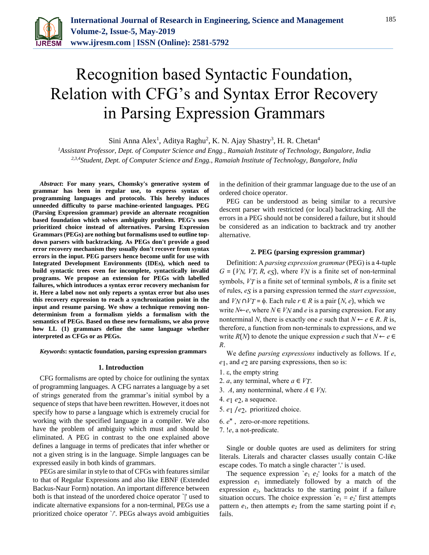

# Recognition based Syntactic Foundation, Relation with CFG's and Syntax Error Recovery in Parsing Expression Grammars

Sini Anna Alex<sup>1</sup>, Aditya Raghu<sup>2</sup>, K. N. Ajay Shastry<sup>3</sup>, H. R. Chetan<sup>4</sup>

*<sup>1</sup>Assistant Professor, Dept. of Computer Science and Engg., Ramaiah Institute of Technology, Bangalore, India 2,3,4Student, Dept. of Computer Science and Engg., Ramaiah Institute of Technology, Bangalore, India*

*Abstract***: For many years, Chomsky's generative system of grammar has been in regular use, to express syntax of programming languages and protocols. This hereby induces unneeded difficulty to parse machine-oriented languages. PEG (Parsing Expression grammar) provide an alternate recognition based foundation which solves ambiguity problem. PEG's uses prioritized choice instead of alternatives. Parsing Expression Grammars (PEGs) are nothing but formalisms used to outline topdown parsers with backtracking. As PEGs don't provide a good error recovery mechanism they usually don't recover from syntax errors in the input. PEG parsers hence become unfit for use with Integrated Development Environments (IDEs), which need to build syntactic trees even for incomplete, syntactically invalid programs. We propose an extension for PEGs with labelled failures, which introduces a syntax error recovery mechanism for it. Here a label now not only reports a syntax error but also uses this recovery expression to reach a synchronization point in the input and resume parsing. We show a technique removing nondeterminism from a formalism yields a formalism with the semantics of PEGs. Based on these new formalisms, we also prove how LL (1) grammars define the same language whether interpreted as CFGs or as PEGs.**

#### *Keywords***: syntactic foundation, parsing expression grammars**

#### **1. Introduction**

CFG formalisms are opted by choice for outlining the syntax of programming languages. A CFG narrates a language by a set of strings generated from the grammar's initial symbol by a sequence of steps that have been rewritten. However, it does not specify how to parse a language which is extremely crucial for working with the specified language in a compiler. We also have the problem of ambiguity which must and should be eliminated. A PEG in contrast to the one explained above defines a language in terms of predicates that infer whether or not a given string is in the language. Simple languages can be expressed easily in both kinds of grammars.

PEGs are similar in style to that of CFGs with features similar to that of Regular Expressions and also like EBNF (Extended Backus-Naur Form) notation. An important difference between both is that instead of the unordered choice operator `|' used to indicate alternative expansions for a non-terminal, PEGs use a prioritized choice operator `/'. PEGs always avoid ambiguities

in the definition of their grammar language due to the use of an ordered choice operator.

PEG can be understood as being similar to a recursive descent parser with restricted (or local) backtracking. All the errors in a PEG should not be considered a failure, but it should be considered as an indication to backtrack and try another alternative.

#### **2. PEG (parsing expression grammar)**

Definition: A *parsing expression grammar* (PEG) is a 4-tuple  $G = (V_N, V_T, R, e_S)$ , where  $V_N$  is a finite set of non-terminal symbols, *VT* is a finite set of terminal symbols, *R* is a finite set of rules, *eS* is a parsing expression termed the *start expression*, and *VN* ∩ *VT* =  $\phi$ . Each rule *r* ∈ *R* is a pair (*N*, *e*), which we write  $N \leftarrow e$ , where  $N \in V_N$  and *e* is a parsing expression. For any nonterminal *N*, there is exactly one *e* such that  $N \leftarrow e \in R$ . *R* is, therefore, a function from non-terminals to expressions, and we write  $R(N)$  to denote the unique expression *e* such that  $N \leftarrow e \in$ *R*.

We define *parsing expressions* inductively as follows. If *e*, *e*1, and *e*2 are parsing expressions, then so is:

- $1. \varepsilon$ , the empty string
- 2. *a*, any terminal, where  $a \in V_T$ .
- 3. *A*, any nonterminal, where  $A \in V_N$ .
- 4. *e*1 *e*2, a sequence.
- 5. *e*1 /*e*2, prioritized choice.
- 6. *e* ∗ , zero-or-more repetitions.
- 7. !*e*, a not-predicate.

Single or double quotes are used as delimiters for string literals. Literals and character classes usually contain C-like escape codes. To match a single character '.' is used.

The sequence expression  $\leq e_1 \cdot e_2$ ' looks for a match of the expression *e*<sup>1</sup> immediately followed by a match of the expression  $e_2$ , backtracks to the starting point if a failure situation occurs. The choice expression  $\hat{e}_1 = e_2$  first attempts pattern  $e_1$ , then attempts  $e_2$  from the same starting point if  $e_1$ fails.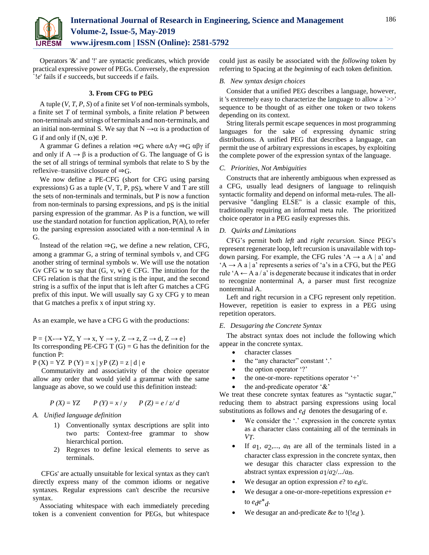

Operators '&' and '!' are *s*yntactic predicates, which provide practical expressive power of PEGs. Conversely, the expression `!*e*' fails if *e* succeeds, but succeeds if *e* fails.

#### **3. From CFG to PEG**

A tuple (*V*, *T*, *P*, *S*) of a finite set *V* of non-terminals symbols, a finite set *T* of terminal symbols, a finite relation *P* between non-terminals and strings of terminals and non-terminals, and an initial non-terminal S. We say that  $N \rightarrow \alpha$  is a production of G if and only if  $(N, \alpha) \in P$ .

A grammar G defines a relation  $\Rightarrow$ G where  $\alpha A\gamma \Rightarrow G \alpha \beta \gamma$  if and only if  $A \rightarrow \beta$  is a production of G. The language of G is the set of all strings of terminal symbols that relate to S by the reflexive–transitive closure of  $\Rightarrow G$ .

We now define a PE-CFG (short for CFG using parsing expressions) G as a tuple  $(V, T, P, pS)$ , where V and T are still the sets of non-terminals and terminals, but P is now a function from non-terminals to parsing expressions, and pS is the initial parsing expression of the grammar. As P is a function, we will use the standard notation for function application, P(A), to refer to the parsing expression associated with a non-terminal A in G.

Instead of the relation  $\Rightarrow$ G, we define a new relation, CFG, among a grammar G, a string of terminal symbols v, and CFG another string of terminal symbols w. We will use the notation Gv CFG w to say that  $(G, v, w) \in CFG$ . The intuition for the CFG relation is that the first string is the input, and the second string is a suffix of the input that is left after G matches a CFG prefix of this input. We will usually say G xy CFG y to mean that G matches a prefix x of input string xy.

As an example, we have a CFG G with the productions:

 $P = \{X \rightarrow YZ, Y \rightarrow x, Y \rightarrow y, Z \rightarrow z, Z \rightarrow d, Z \rightarrow e\}$ Its corresponding PE-CFG T  $(G) = G$  has the definition for the function P:

 $P(X) = YZ P(Y) = x | yP(Z) = z | d | e$ 

Commutativity and associativity of the choice operator allow any order that would yield a grammar with the same language as above, so we could use this definition instead:

$$
P(X) = YZ
$$
  $P(Y) = x/y$   $P(Z) = e / z/d$ 

## *A. Unified language definition*

- 1) Conventionally syntax descriptions are split into two parts: Context-free grammar to show hierarchical portion.
- 2) Regexes to define lexical elements to serve as terminals.

CFGs' are actually unsuitable for lexical syntax as they can't directly express many of the common idioms or negative syntaxes. Regular expressions can't describe the recursive syntax.

Associating whitespace with each immediately preceding token is a convenient convention for PEGs, but whitespace could just as easily be associated with the *following* token by referring to Spacing at the *beginning* of each token definition.

#### *B. New syntax design choices*

Consider that a unified PEG describes a language, however, it 's extremely easy to characterize the language to allow a `>>' sequence to be thought of as either one token or two tokens depending on its context.

String literals permit escape sequences in most programming languages for the sake of expressing dynamic string distributions. A unified PEG that describes a language, can permit the use of arbitrary expressions in escapes, by exploiting the complete power of the expression syntax of the language.

## *C. Priorities, Not Ambiguities*

Constructs that are inherently ambiguous when expressed as a CFG, usually lead designers of language to relinquish syntactic formality and depend on informal meta-rules. The allpervasive "dangling ELSE" is a classic example of this, traditionally requiring an informal meta rule. The prioritized choice operator in a PEG easily expresses this.

## *D. Quirks and Limitations*

CFG's permit both *left* and *right recursion.* Since PEG's represent regenerate loop, left recursion is unavailable with topdown parsing. For example, the CFG rules 'A  $\rightarrow$  a A | a' and  $A \rightarrow A$  a | a' represents a series of 'a's in a CFG, but the PEG rule 'A  $\leftarrow$  A a / a' is degenerate because it indicates that in order to recognize nonterminal A, a parser must first recognize nonterminal A.

Left and right recursion in a CFG represent only repetition. However, repetition is easier to express in a PEG using repetition operators.

# *E. Desugaring the Concrete Syntax*

The abstract syntax does not include the following which appear in the concrete syntax.

- character classes
- the "any character" constant '.'
- $\bullet$  the option operator '?'
- the one-or-more- repetitions operator '+'
- the and-predicate operator '&'

We treat these concrete syntax features as "syntactic sugar," reducing them to abstract parsing expressions using local substitutions as follows and  $e_d$  denotes the desugaring of e.

- We consider the '.' expression in the concrete syntax as a character class containing all of the terminals in *VT*.
- If *a*1, *a*2,..., *an* are all of the terminals listed in a character class expression in the concrete syntax, then we desugar this character class expression to the abstract syntax expression *a*1/*a*2/.../*an*.
- We desugar an option expression  $e$ ? to  $e_d$ / $\varepsilon$ .
- We desugar a one-or-more-repetitions expression *e*+ to *ede* ∗ *d* .
- We desugar an and-predicate &*e* to !(!*ed* ).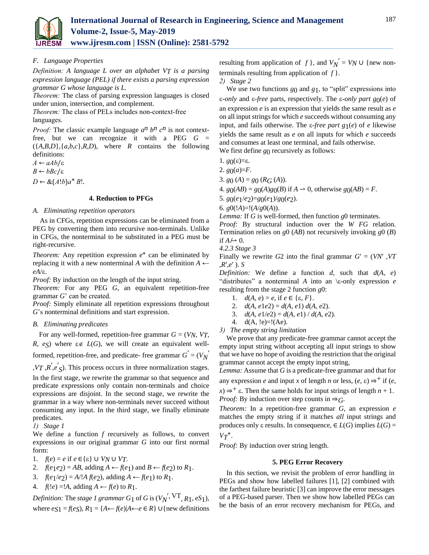

## *F. Language Properties*

*Definition: A language L over an alphabet VT is a parsing expression language (PEL) if there exists a parsing expression grammar G whose language is L.* 

*Theorem:* The class of parsing expression languages is closed under union, intersection, and complement.

*Theorem:* The class of PELs includes non-context-free languages.

*Proof:* The classic example language  $a^n b^n c^n$  is not contextfree, but we can recognize it with a PEG *G* =  $({A,B,D}, {a,b,c}, R,D)$ , where *R* contains the following definitions:

 $A$  ← *aAb*/ε

 $B$  ← *bBc*/ε

 $D \leftarrow \& (A!b)a^*B!$ .

## **4. Reduction to PFGs**

#### *A. Eliminating repetition operators*

As in CFGs, repetition expressions can be eliminated from a PEG by converting them into recursive non-terminals. Unlike in CFGs, the nonterminal to be substituted in a PEG must be right-recursive.

*Theorem:* Any repetition expression  $e^*$  can be eliminated by replacing it with a new nonterminal A with the definition  $A \leftarrow$  $eA/\varepsilon$ .

*Proof:* By induction on the length of the input string.

*Theorem:* For any PEG *G*, an equivalent repetition-free grammar *G*' can be created.

*Proof:* Simply eliminate all repetition expressions throughout *G*'s nonterminal definitions and start expression.

## *B. Eliminating predicates*

For any well-formed, repetition-free grammar *G* = (*VN*, *VT*, *R*, *eS*) where  $\varepsilon \notin L(G)$ , we will create an equivalent wellformed, repetition-free, and predicate- free grammar  $G' = (V_N)^T$ 

 $, VT, R', e'_{S}$ . This process occurs in three normalization stages.

In the first stage, we rewrite the grammar so that sequence and predicate expressions only contain non-terminals and choice expressions are disjoint. In the second stage, we rewrite the grammar in a way where non-terminals never succeed without consuming any input. In the third stage, we finally eliminate predicates.

*1) Stage 1*

We define a function *f* recursively as follows, to convert expressions in our original grammar *G* into our first normal form:

1. 
$$
f(e) = e
$$
 if  $e \in \{\varepsilon\} \cup VN \cup VT$ .

- 2.  $f(e_1e_2) = AB$ , adding  $A \leftarrow f(e_1)$  and  $B \leftarrow f(e_2)$  to  $R_1$ .
- 3.  $f(e_1/e_2) = A/!A f(e_2)$ , adding  $A \leftarrow f(e_1)$  to  $R_1$ .
- 4.  $f(!\mathit{e}) = !A$ , adding  $A \leftarrow f(\mathit{e})$  to  $R_1$ .

*Definition:* The *stage 1 grammar*  $G_1$  of  $G$  is  $(V_N^{'}, V_T^T, R_1, eS_1)$ , where  $e_S$ <sub>1</sub> = *f*( $e_S$ ),  $R$ <sub>1</sub> = { $A \leftarrow f(e)$ | $A \leftarrow e \in R$ } ∪{new definitions

resulting from application of *f* }, and  $V_N' = V_N \cup \{new non$ terminals resulting from application of *f* }.

# *2) Stage 2*

We use two functions *g*0 and *g*1, to "split" expressions into *ε-only and ε-free parts, respectively. The <i>ε-only part g*<sub>0</sub>(*e*) of an expression *e* is an expression that yields the same result as *e*  on all input strings for which *e* succeeds without consuming any input, and fails otherwise. The  $\varepsilon$ -free part  $g_1(e)$  of *e* likewise yields the same result as *e* on all inputs for which *e* succeeds and consumes at least one terminal, and fails otherwise. We first define *g*<sub>0</sub> recursively as follows:

1.  $g_0(\varepsilon)=\varepsilon$ .

2.  $g_0(a)=F$ .

3. *g*<sub>0</sub> (*A*) = *g*<sub>0</sub> (*R<sub>G</sub>* (*A*)).

4.  $g_0(AB) = g_0(A)g_0(B)$  if  $A \to 0$ , otherwise  $g_0(AB) = F$ .

5. *g*0(*e*1/*e*2)=*g*0(*e*1)/*g*0(*e*2).

6.  $g0($ <u>:</u>*A*)=!( $A/g0(A)$ ).

*Lemma:* If *G* is well-formed, then function *g*0 terminates. *Proof:* By structural induction over the *W FG* relation. Termination relies on *g*0 (*AB*) not recursively invoking *g*0 (*B*) if  $A \rightarrow 0$ .

*4.2.3 Stage 3*

Finally we rewrite  $G2$  into the final grammar  $G' = (VN'$ ,  $VT$ ,*R*′,*e*′ ). *S* 

*Definition:* We define a function *d*, such that *d*(*A*, *e*) "distributes" a nonterminal *A* into an  $\epsilon$ -only expression *e* resulting from the stage 2 function *g*0:

- 1.  $d(A, e) = e$ , if  $e \in \{ \varepsilon, F \}.$
- 2.  $d(A, e1e2) = d(A, e1) d(A, e2)$ .
- 3. *d*(*A*, *e*1/*e*2) = *d*(*A*, *e*1) / *d*(*A*, *e*2).
- 4.  $d(A, le)=!(Ae)$ .
- *3) The empty string limitation*

We prove that any predicate-free grammar cannot accept the empty input string without accepting all input strings to show that we have no hope of avoiding the restriction that the original grammar cannot accept the empty input string,

*Lemma:* Assume that *G* is a predicate-free grammar and that for

any expression *e* and input *x* of length *n* or less,  $(e, \varepsilon) \Rightarrow^+$  if  $(e,$  $f(x) \Rightarrow^+ \varepsilon$ . Then the same holds for input strings of length  $n + 1$ . *Proof:* By induction over step counts in  $\Rightarrow$  *G*.

*Theorem:* In a repetition-free grammar *G*, an expression *e*  matches the empty string if it matches *all* input strings and produces only  $\varepsilon$  results. In consequence,  $\in L(G)$  implies  $L(G)$  = *VT* ∗.

*Proof:* By induction over string length.

## **5. PEG Error Recovery**

In this section, we revisit the problem of error handling in PEGs and show how labelled failures [1], [2] combined with the farthest failure heuristic [3] can improve the error messages of a PEG-based parser. Then we show how labelled PEGs can be the basis of an error recovery mechanism for PEGs, and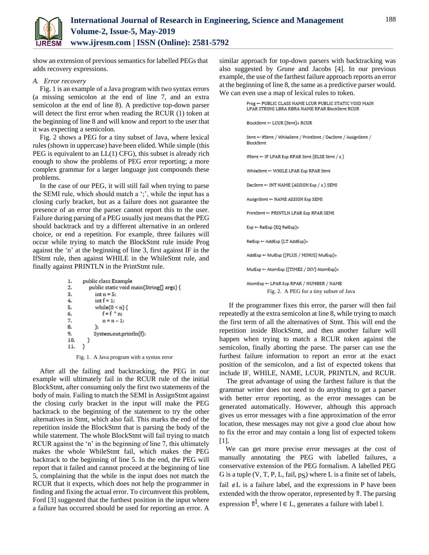

show an extension of previous semantics for labelled PEGs that adds recovery expressions.

#### *A. Error recovery*

Fig. 1 is an example of a Java program with two syntax errors (a missing semicolon at the end of line 7, and an extra semicolon at the end of line 8). A predictive top-down parser will detect the first error when reading the RCUR (}) token at the beginning of line 8 and will know and report to the user that it was expecting a semicolon.

Fig. 2 shows a PEG for a tiny subset of Java, where lexical rules (shown in uppercase) have been elided. While simple (this PEG is equivalent to an LL(1) CFG), this subset is already rich enough to show the problems of PEG error reporting; a more complex grammar for a larger language just compounds these problems.

In the case of our PEG, it will still fail when trying to parse the SEMI rule, which should match a ';', while the input has a closing curly bracket, but as a failure does not guarantee the presence of an error the parser cannot report this to the user. Failure during parsing of a PEG usually just means that the PEG should backtrack and try a different alternative in an ordered choice, or end a repetition. For example, three failures will occur while trying to match the BlockStmt rule inside Prog against the 'n' at the beginning of line 3, first against IF in the IfStmt rule, then against WHILE in the WhileStmt rule, and finally against PRINTLN in the PrintStmt rule.

```
public class Example
1.2.public static void main(String[] args) {
3.
            int n = 5;
4.
            int f = 1:
5.
            while(0 < n) {
               f = f * n;
6.
7.
               n = n - 1;
8.
            };
9.
            System.out.println(f);
10.
        ₹
      }
11.
```
Fig. 1. A Java program with a syntax error

After all the failing and backtracking, the PEG in our example will ultimately fail in the RCUR rule of the initial BlockStmt, after consuming only the first two statements of the body of main. Failing to match the SEMI in AssignStmt against the closing curly bracket in the input will make the PEG backtrack to the beginning of the statement to try the other alternatives in Stmt, which also fail. This marks the end of the repetition inside the BlockStmt that is parsing the body of the while statement. The whole BlockStmt will fail trying to match RCUR against the 'n' in the beginning of line 7, this ultimately makes the whole WhileStmt fail, which makes the PEG backtrack to the beginning of line 5. In the end, the PEG will report that it failed and cannot proceed at the beginning of line 5, complaining that the while in the input does not match the RCUR that it expects, which does not help the programmer in finding and fixing the actual error. To circumvent this problem, Ford [3] suggested that the furthest position in the input where a failure has occurred should be used for reporting an error. A

similar approach for top-down parsers with backtracking was also suggested by Grune and Jacobs [4]. In our previous example, the use of the farthest failure approach reports an error at the beginning of line 8, the same as a predictive parser would. We can even use a map of lexical rules to token.

| Prog - PUBLIC CLASS NAME LCUR PUBLIC STATIC VOID MAIN<br>LPAR STRING LBRA RBRA NAME RPAR BlockStmt RCUR |
|---------------------------------------------------------------------------------------------------------|
| $BlockStrnt \leftarrow LCUR(Strnt)*RCUR$                                                                |
| Stmt ← IfStmt / WhileStmt / PrintStmt / DecStmt / AssignStmt /<br>BlockStmt                             |
| IfStmt $\leftarrow$ IF LPAR Exp RPAR Stmt (ELSE Stmt / $\epsilon$ )                                     |
| WhileStmt + WHILE LPAR Exp RPAR Stmt                                                                    |
| DecStmt $\leftarrow$ INT NAME (ASSIGN Exp / $\epsilon$ ) SEMI                                           |
| AssignStmt ← NAME ASSIGN Exp SEMI                                                                       |
| PrintStmt ← PRINTLN LPAR Exp RPAR SEMI                                                                  |
| $Exp \leftarrow RelExp (EO RelExp)$                                                                     |
| RelExp ← AddExp (LT AddExp)*                                                                            |
| AddExp + MulExp ((PLUS / MINUS) MulExp)*                                                                |
| MulExp ← AtomExp ((TIMES / DIV) AtomExp)*                                                               |
| AtomExp ← LPAR Exp RPAR / NUMBER / NAME<br>Fig. 2. A PEG for a tiny subset of Java                      |

If the programmer fixes this error, the parser will then fail repeatedly at the extra semicolon at line 8, while trying to match the first term of all the alternatives of Stmt. This will end the repetition inside BlockStmt, and then another failure will happen when trying to match a RCUR token against the semicolon, finally aborting the parse. The parser can use the furthest failure information to report an error at the exact position of the semicolon, and a list of expected tokens that include IF, WHILE, NAME, LCUR, PRINTLN, and RCUR.

The great advantage of using the farthest failure is that the grammar writer does not need to do anything to get a parser with better error reporting, as the error messages can be generated automatically. However, although this approach gives us error messages with a fine approximation of the error location, these messages may not give a good clue about how to fix the error and may contain a long list of expected tokens  $[1]$ .

We can get more precise error messages at the cost of manually annotating the PEG with labelled failures, a conservative extension of the PEG formalism. A labelled PEG G is a tuple  $(V, T, P, L, \text{fail}, \text{pS})$  where L is a finite set of labels, fail  $\notin L$  is a failure label, and the expressions in P have been extended with the throw operator, represented by ⇑. The parsing expression  $\hat{\mathbb{I}}^1$ , where  $\mathbb{I} \in \mathbb{L}$ , generates a failure with label l.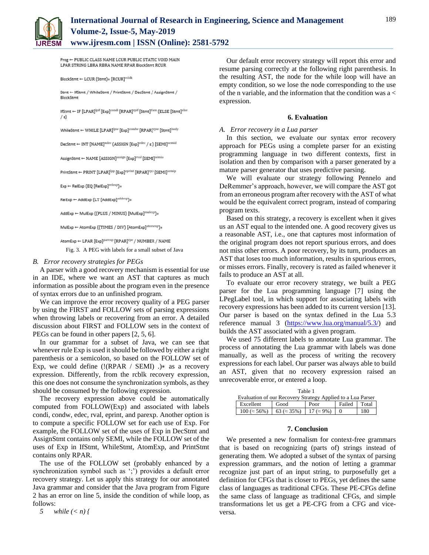

Prog - PUBLIC CLASS NAME LCUR PUBLIC STATIC VOID MAIN LPAR STRING LBRA RBRA NAME RPAR BlockStmt RCUR

 $\text{BlockStrnt} \gets \text{LCUR (Stmt)} * [\text{RCUR}]^{\text{rblk}}$ 

Stmt ← IfStmt / WhileStmt / PrintStmt / DecStmt / AssignStmt / BlockStmt

IfStmt ← IF [LPAR]<sup>Ipif</sup> [Exp]<sup>condi</sup> [RPAR]<sup>Ipif</sup> [Stmt]<sup>then</sup> (ELSE [Stmt]<sup>else</sup>  $\sqrt{\epsilon}$ 

WhileStmt + WHILE [LPAR]<sup>lpw</sup> [Exp]<sup>condw</sup> [RPAR]<sup>rpw</sup> [Stmt]<sup>hody</sup>

DecStmt ← INT [NAME]<sup>ndec</sup> (ASSIGN [Exp]<sup>edec</sup> / ε ) [SEMI]<sup>semid</sup>

AssignStmt ← NAME [ASSIGN]<sup>assign</sup> [Exp]<sup>rval</sup> [SEMI]<sup>semia</sup>

PrintStmt ← PRINT [LPAR]<sup>Ipp</sup> [Exp]<sup>eprint</sup> [RPAR]<sup>rpp</sup> [SEMI]<sup>semip</sup>

 $Exp \leftarrow RelExp [EQ [RelExp]^{relexp}] *$ 

 $\mathsf{RelExp} \leftarrow \mathsf{AddExp}\left(\mathsf{LT}\left[\mathsf{AddExp}\right]^{\mathsf{addexp}}\right)*$ 

AddExp + MulExp ((PLUS / MINUS) [MulExp]<sup>mulexp</sup>]\*

 $\mathsf{MulExp} \leftarrow \mathsf{AtomExp}\left(\left(\mathsf{TIMES}\; / \; \mathsf{DIV}\right) \left[\mathsf{AtomExp}\right]^{\mathsf{atomexp}}\right)*$ 

AtomExp ← LPAR [Exp]<sup>parexp</sup> [RPAR]<sup>rpe</sup> / NUMBER / NAME

Fig. 3. A PEG with labels for a small subset of Java

#### *B. Error recovery strategies for PEGs*

A parser with a good recovery mechanism is essential for use in an IDE, where we want an AST that captures as much information as possible about the program even in the presence of syntax errors due to an unfinished program.

We can improve the error recovery quality of a PEG parser by using the FIRST and FOLLOW sets of parsing expressions when throwing labels or recovering from an error. A detailed discussion about FIRST and FOLLOW sets in the context of PEGs can be found in other papers [2, 5, 6].

In our grammar for a subset of Java, we can see that whenever rule Exp is used it should be followed by either a right parenthesis or a semicolon, so based on the FOLLOW set of Exp, we could define  $(!(RPAR / SEMI).)$ \* as a recovery expression. Differently, from the rcblk recovery expression, this one does not consume the synchronization symbols, as they should be consumed by the following expression.

The recovery expression above could be automatically computed from FOLLOW(Exp) and associated with labels condi, condw, edec, rval, eprint, and parexp. Another option is to compute a specific FOLLOW set for each use of Exp. For example, the FOLLOW set of the uses of Exp in DecStmt and AssignStmt contains only SEMI, while the FOLLOW set of the uses of Exp in IfStmt, WhileStmt, AtomExp, and PrintStmt contains only RPAR.

The use of the FOLLOW set (probably enhanced by a synchronization symbol such as ';') provides a default error recovery strategy. Let us apply this strategy for our annotated Java grammar and consider that the Java program from Figure 2 has an error on line 5, inside the condition of while loop, as follows:

*5 while (< n) {*

Our default error recovery strategy will report this error and resume parsing correctly at the following right parenthesis. In the resulting AST, the node for the while loop will have an empty condition, so we lose the node corresponding to the use of the n variable, and the information that the condition was a < expression.

#### **6. Evaluation**

#### *A. Error recovery in a Lua parser*

In this section, we evaluate our syntax error recovery approach for PEGs using a complete parser for an existing programming language in two different contexts, first in isolation and then by comparison with a parser generated by a mature parser generator that uses predictive parsing.

We will evaluate our strategy following Pennelo and DeRemmer's approach, however, we will compare the AST got from an erroneous program after recovery with the AST of what would be the equivalent correct program, instead of comparing program texts.

Based on this strategy, a recovery is excellent when it gives us an AST equal to the intended one. A good recovery gives us a reasonable AST, i.e., one that captures most information of the original program does not report spurious errors, and does not miss other errors. A poor recovery, by its turn, produces an AST that loses too much information, results in spurious errors, or misses errors. Finally, recovery is rated as failed whenever it fails to produce an AST at all.

To evaluate our error recovery strategy, we built a PEG parser for the Lua programming language [7] using the LPegLabel tool, in which support for associating labels with recovery expressions has been added to its current version [13]. Our parser is based on the syntax defined in the Lua 5.3 reference manual 3 [\(https://www.lua.org/manual/5.3/\)](https://www.lua.org/manual/5.3/) and builds the AST associated with a given program.

We used 75 different labels to annotate Lua grammar. The process of annotating the Lua grammar with labels was done manually, as well as the process of writing the recovery expressions for each label. Our parser was always able to build an AST, given that no recovery expression raised an unrecoverable error, or entered a loop.

| Table 1 |                                                             |                                                                       |      |              |     |  |
|---------|-------------------------------------------------------------|-----------------------------------------------------------------------|------|--------------|-----|--|
|         | Evaluation of our Recovery Strategy Applied to a Lua Parser |                                                                       |      |              |     |  |
|         | Excellent                                                   | Good                                                                  | Poor | Failed Total |     |  |
|         |                                                             | $100 (\approx 56\%)$   63 ( $\approx 35\%)$   17 ( $\approx 9\%)$   0 |      |              | 180 |  |

#### **7. Conclusion**

We presented a new formalism for context-free grammars that is based on recognizing (parts of) strings instead of generating them. We adopted a subset of the syntax of parsing expression grammars, and the notion of letting a grammar recognize just part of an input string, to purposefully get a definition for CFGs that is closer to PEGs, yet defines the same class of languages as traditional CFGs. These PE-CFGs define the same class of language as traditional CFGs, and simple transformations let us get a PE-CFG from a CFG and viceversa.